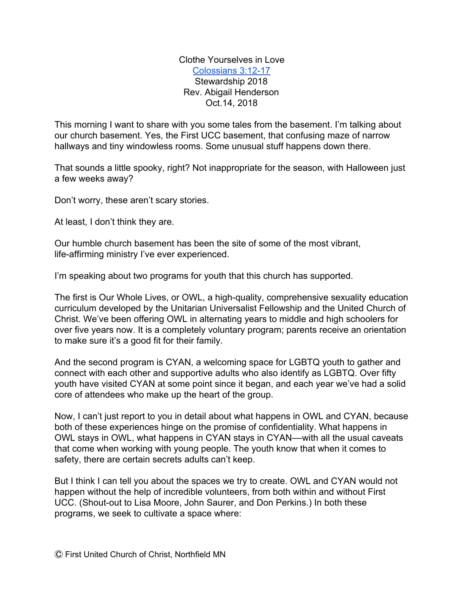Clothe Yourselves in Love [Colossians 3:12-17](http://bible.oremus.org/?ql=406204243) Stewardship 2018 Rev. Abigail Henderson Oct.14, 2018

This morning I want to share with you some tales from the basement. I'm talking about our church basement. Yes, the First UCC basement, that confusing maze of narrow hallways and tiny windowless rooms. Some unusual stuff happens down there.

That sounds a little spooky, right? Not inappropriate for the season, with Halloween just a few weeks away?

Don't worry, these aren't scary stories.

At least, I don't think they are.

Our humble church basement has been the site of some of the most vibrant, life-affirming ministry I've ever experienced.

I'm speaking about two programs for youth that this church has supported.

The first is Our Whole Lives, or OWL, a high-quality, comprehensive sexuality education curriculum developed by the Unitarian Universalist Fellowship and the United Church of Christ. We've been offering OWL in alternating years to middle and high schoolers for over five years now. It is a completely voluntary program; parents receive an orientation to make sure it's a good fit for their family.

And the second program is CYAN, a welcoming space for LGBTQ youth to gather and connect with each other and supportive adults who also identify as LGBTQ. Over fifty youth have visited CYAN at some point since it began, and each year we've had a solid core of attendees who make up the heart of the group.

Now, I can't just report to you in detail about what happens in OWL and CYAN, because both of these experiences hinge on the promise of confidentiality. What happens in OWL stays in OWL, what happens in CYAN stays in CYAN––with all the usual caveats that come when working with young people. The youth know that when it comes to safety, there are certain secrets adults can't keep.

But I think I can tell you about the spaces we try to create. OWL and CYAN would not happen without the help of incredible volunteers, from both within and without First UCC. (Shout-out to Lisa Moore, John Saurer, and Don Perkins.) In both these programs, we seek to cultivate a space where: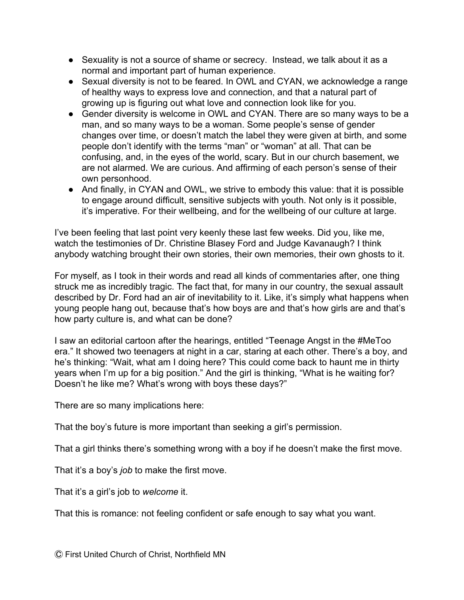- Sexuality is not a source of shame or secrecy. Instead, we talk about it as a normal and important part of human experience.
- Sexual diversity is not to be feared. In OWL and CYAN, we acknowledge a range of healthy ways to express love and connection, and that a natural part of growing up is figuring out what love and connection look like for you.
- Gender diversity is welcome in OWL and CYAN. There are so many ways to be a man, and so many ways to be a woman. Some people's sense of gender changes over time, or doesn't match the label they were given at birth, and some people don't identify with the terms "man" or "woman" at all. That can be confusing, and, in the eyes of the world, scary. But in our church basement, we are not alarmed. We are curious. And affirming of each person's sense of their own personhood.
- And finally, in CYAN and OWL, we strive to embody this value: that it is possible to engage around difficult, sensitive subjects with youth. Not only is it possible, it's imperative. For their wellbeing, and for the wellbeing of our culture at large.

I've been feeling that last point very keenly these last few weeks. Did you, like me, watch the testimonies of Dr. Christine Blasey Ford and Judge Kavanaugh? I think anybody watching brought their own stories, their own memories, their own ghosts to it.

For myself, as I took in their words and read all kinds of commentaries after, one thing struck me as incredibly tragic. The fact that, for many in our country, the sexual assault described by Dr. Ford had an air of inevitability to it. Like, it's simply what happens when young people hang out, because that's how boys are and that's how girls are and that's how party culture is, and what can be done?

I saw an editorial cartoon after the hearings, entitled "Teenage Angst in the #MeToo era." It showed two teenagers at night in a car, staring at each other. There's a boy, and he's thinking: "Wait, what am I doing here? This could come back to haunt me in thirty years when I'm up for a big position." And the girl is thinking, "What is he waiting for? Doesn't he like me? What's wrong with boys these days?"

There are so many implications here:

That the boy's future is more important than seeking a girl's permission.

That a girl thinks there's something wrong with a boy if he doesn't make the first move.

That it's a boy's *job* to make the first move.

That it's a girl's job to *welcome* it.

That this is romance: not feeling confident or safe enough to say what you want.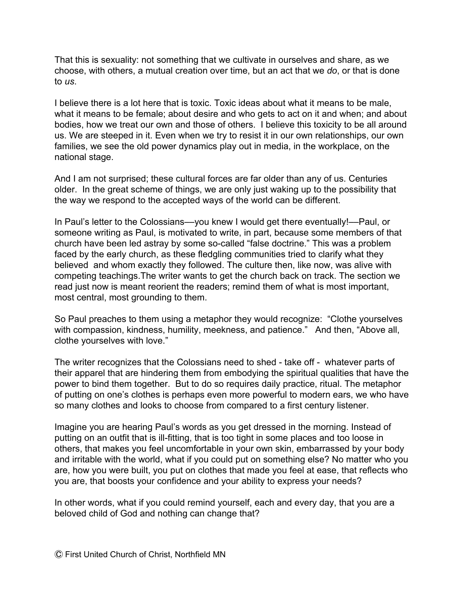That this is sexuality: not something that we cultivate in ourselves and share, as we choose, with others, a mutual creation over time, but an act that we *do*, or that is done to *us*.

I believe there is a lot here that is toxic. Toxic ideas about what it means to be male, what it means to be female; about desire and who gets to act on it and when; and about bodies, how we treat our own and those of others. I believe this toxicity to be all around us. We are steeped in it. Even when we try to resist it in our own relationships, our own families, we see the old power dynamics play out in media, in the workplace, on the national stage.

And I am not surprised; these cultural forces are far older than any of us. Centuries older. In the great scheme of things, we are only just waking up to the possibility that the way we respond to the accepted ways of the world can be different.

In Paul's letter to the Colossians—you knew I would get there eventually!—Paul, or someone writing as Paul, is motivated to write, in part, because some members of that church have been led astray by some so-called "false doctrine." This was a problem faced by the early church, as these fledgling communities tried to clarify what they believed and whom exactly they followed. The culture then, like now, was alive with competing teachings.The writer wants to get the church back on track. The section we read just now is meant reorient the readers; remind them of what is most important, most central, most grounding to them.

So Paul preaches to them using a metaphor they would recognize: "Clothe yourselves with compassion, kindness, humility, meekness, and patience." And then, "Above all, clothe yourselves with love."

The writer recognizes that the Colossians need to shed - take off - whatever parts of their apparel that are hindering them from embodying the spiritual qualities that have the power to bind them together. But to do so requires daily practice, ritual. The metaphor of putting on one's clothes is perhaps even more powerful to modern ears, we who have so many clothes and looks to choose from compared to a first century listener.

Imagine you are hearing Paul's words as you get dressed in the morning. Instead of putting on an outfit that is ill-fitting, that is too tight in some places and too loose in others, that makes you feel uncomfortable in your own skin, embarrassed by your body and irritable with the world, what if you could put on something else? No matter who you are, how you were built, you put on clothes that made you feel at ease, that reflects who you are, that boosts your confidence and your ability to express your needs?

In other words, what if you could remind yourself, each and every day, that you are a beloved child of God and nothing can change that?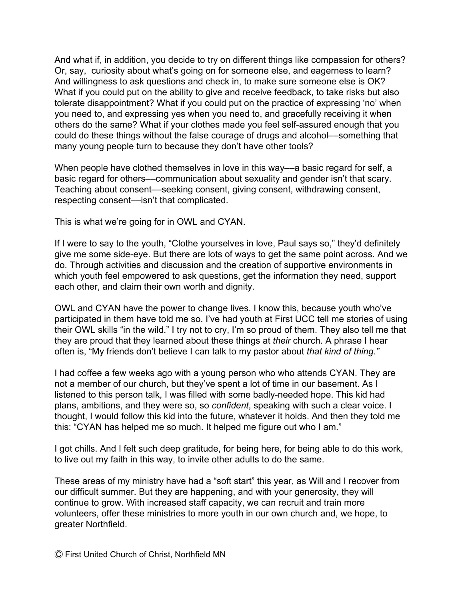And what if, in addition, you decide to try on different things like compassion for others? Or, say, curiosity about what's going on for someone else, and eagerness to learn? And willingness to ask questions and check in, to make sure someone else is OK? What if you could put on the ability to give and receive feedback, to take risks but also tolerate disappointment? What if you could put on the practice of expressing 'no' when you need to, and expressing yes when you need to, and gracefully receiving it when others do the same? What if your clothes made you feel self-assured enough that you could do these things without the false courage of drugs and alcohol––something that many young people turn to because they don't have other tools?

When people have clothed themselves in love in this way—a basic regard for self, a basic regard for others––communication about sexuality and gender isn't that scary. Teaching about consent––seeking consent, giving consent, withdrawing consent, respecting consent—isn't that complicated.

This is what we're going for in OWL and CYAN.

If I were to say to the youth, "Clothe yourselves in love, Paul says so," they'd definitely give me some side-eye. But there are lots of ways to get the same point across. And we do. Through activities and discussion and the creation of supportive environments in which youth feel empowered to ask questions, get the information they need, support each other, and claim their own worth and dignity.

OWL and CYAN have the power to change lives. I know this, because youth who've participated in them have told me so. I've had youth at First UCC tell me stories of using their OWL skills "in the wild." I try not to cry, I'm so proud of them. They also tell me that they are proud that they learned about these things at *their* church. A phrase I hear often is, "My friends don't believe I can talk to my pastor about *that kind of thing."*

I had coffee a few weeks ago with a young person who who attends CYAN. They are not a member of our church, but they've spent a lot of time in our basement. As I listened to this person talk, I was filled with some badly-needed hope. This kid had plans, ambitions, and they were so, so *confident*, speaking with such a clear voice. I thought, I would follow this kid into the future, whatever it holds. And then they told me this: "CYAN has helped me so much. It helped me figure out who I am."

I got chills. And I felt such deep gratitude, for being here, for being able to do this work, to live out my faith in this way, to invite other adults to do the same.

These areas of my ministry have had a "soft start" this year, as Will and I recover from our difficult summer. But they are happening, and with your generosity, they will continue to grow. With increased staff capacity, we can recruit and train more volunteers, offer these ministries to more youth in our own church and, we hope, to greater Northfield.